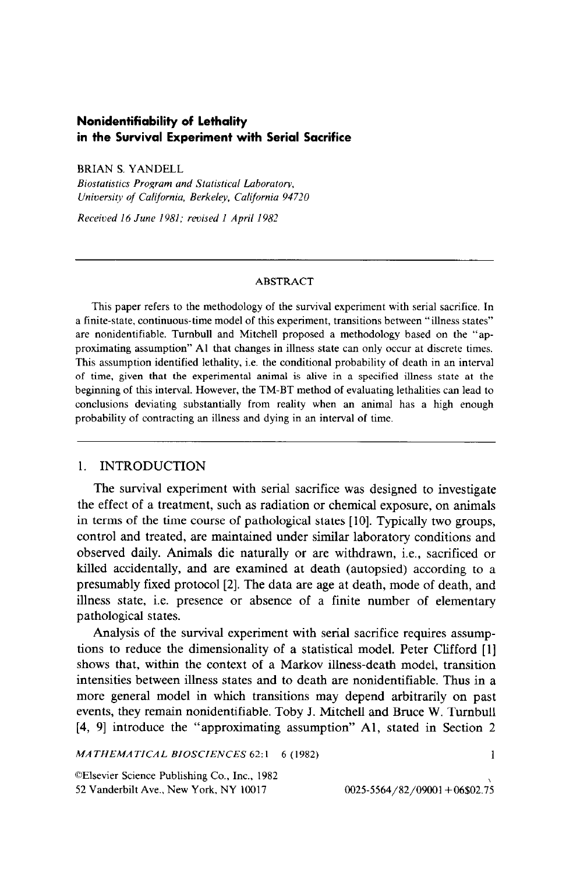# **Nonidentifiability of lethality in the Survival Experiment with Serial Sacrifice**

BRIAN S. YANDELL

*Biostutistics Program und Stutisticul Luhorutov,*  University of California, Berkeley, California 94720

*Received 16 June 1981; revised I April 19%* 

#### ABSTRACT

This paper refers to the methodology of the survival experiment with serial sacrifice. In a finite-state, continuous-time model of this experiment, transitions between "illness states" are nonidentifiable. Tumbull and Mitchell proposed a methodology based on the "approximating assumption" Al that changes in illness state can only occur at discrete times, This assumption identified lethality, i.e. the conditional probability of death in an interval of time, given that the experimental animal is alive in a specified illness state at the beginning of this interval. However, the TM-BT method of evaluating lethalities can lead to conclusions deviating substantially from reality when an animal has a high enough probability of contracting an illness and dying in an interval of time.

# 1. INTRODUCTION

The survival experiment with serial sacrifice was designed to investigate the effect of a treatment, such as radiation or chemical exposure, on animals in terms of the time course of pathological states [IO]. Typically two groups, control and treated, are maintained under similar laboratory conditions and observed daily. Animals die naturally or are withdrawn, i.e., sacrificed or killed accidentally, and are examined at death (autopsied) according to a presumably fixed protocol [2]. The data are age at death, mode of death, and illness state, i.e. presence or absence of a finite number of elementary pathological states.

Analysis of the survival experiment with serial sacrifice requires assumptions to reduce the dimensionality of a statistical model. Peter Clifford [l] shows that, within the context of a Markov illness-death model, transition intensities between illness states and to death are nonidentifiable. Thus in a more general model in which transitions may depend arbitrarily on past events, they remain nonidentifiable. Toby J. Mitchell and Bruce W. Turnbull [4, 91 introduce the "approximating assumption" Al, stated in Section 2

*MATHEMATICAL BIOSCIENCES 62:* l-6 (1982) 1

OElsevier Science Publishing Co., Inc., 1982 52 Vanderbilt Ave., New York, NY 10017 0025-5564/82/09001 + 06\$02.75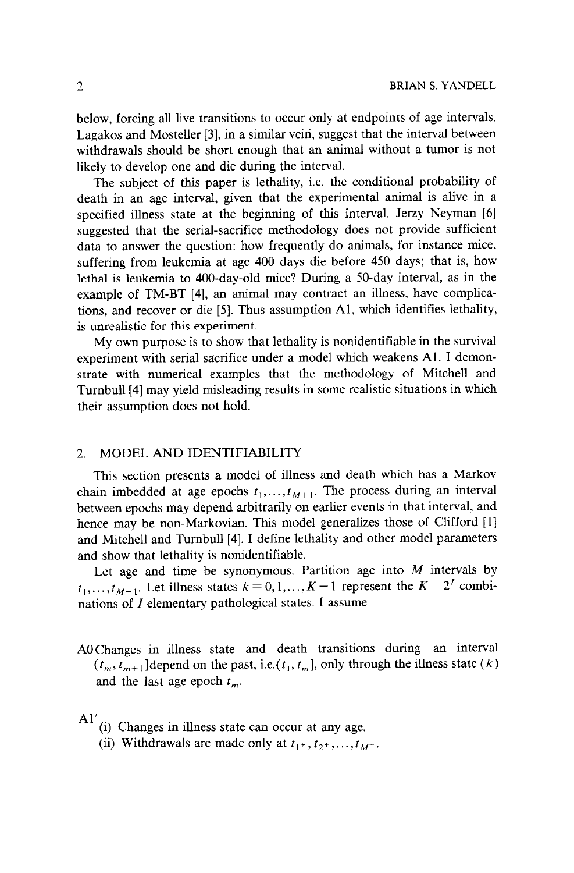below, forcing all live transitions to occur only at endpoints of age intervals. Lagakos and Mosteller [3], in a similar vein, suggest that the interval between withdrawals should be short enough that an animal without a tumor is not likely to develop one and die during the interval.

The subject of this paper is lethality, i.e. the conditional probability of death in an age interval, given that the experimental animal is alive in a specified illness state at the beginning of this interval. Jerzy Neyman [6] suggested that the serial-sacrifice methodology does not provide sufficient data to answer the question: how frequently do animals, for instance mice, suffering from leukemia at age 400 days die before 450 days; that is, how lethal is leukemia to 400-day-old mice? During a SO-day interval, as in the example of TM-BT [4], an animal may contract an illness, have complications, and recover or die [5]. Thus assumption Al, which identifies lethality, is unrealistic for this experiment.

My own purpose is to show that lethality is nonidentifiable in the survival experiment with serial sacrifice under a model which weakens Al. I demonstrate with numerical examples that the methodology of Mitchell and Turnbull [4] may yield misleading results in some realistic situations in which their assumption does not hold.

# 2. MODEL AND IDENTIFIABILITY

This section presents a model of illness and death which has a Markov chain imbedded at age epochs  $t_1, \ldots, t_{M+1}$ . The process during an interval between epochs may depend arbitrarily on earlier events in that interval, and hence may be non-Markovian. This model generalizes those of Clifford [I] and Mitchell and Tumbull [4]. I define lethality and other model parameters and show that lethality is nonidentifiable.

Let age and time be synonymous. Partition age into  $M$  intervals by  $t_1, \ldots, t_{M+1}$ . Let illness states  $k = 0, 1, \ldots, K-1$  represent the  $K = 2^T$  combinations of  $I$  elementary pathological states. I assume

AOChanges in illness state and death transitions during an interval  $(t_m, t_{m+1}]$  depend on the past, i.e. $(t_1, t_m]$ , only through the illness state  $(k)$ and the last age epoch  $t_m$ .

### $A'$

- (i) Changes in illness state can occur at any age.
- (ii) Withdrawals are made only at  $t_1$ +,  $t_2$ +,...,  $t_M$ +.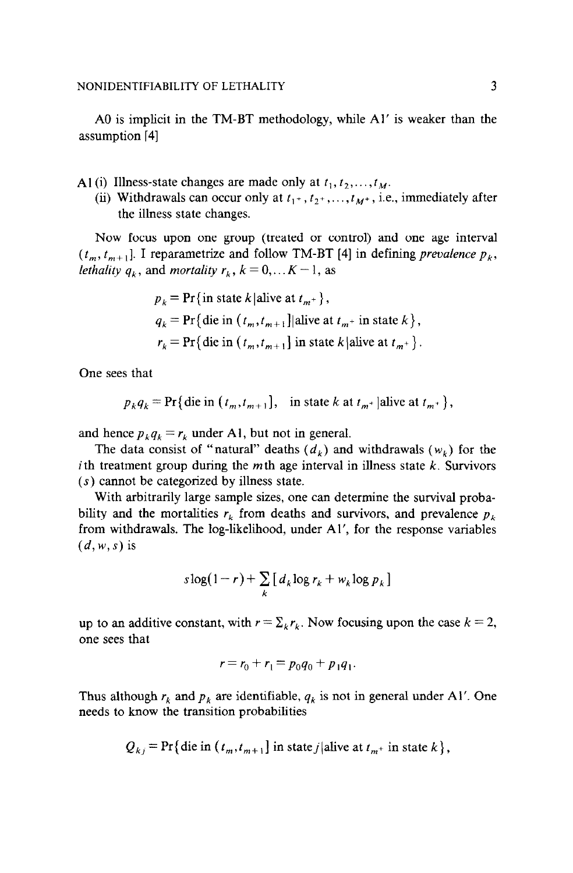A0 is implicit in the TM-BT methodology, while Al' is weaker than the assumption [4]

Al(i) Illness-state changes are made only at  $t_1, t_2,...,t_M$ .

(ii) Withdrawals can occur only at  $t_1$ +,  $t_2$ +,..., $t_M$ +, i.e., immediately after the illness state changes.

Now focus upon one group (treated or control) and one age interval  $(t_m, t_{m+1}]$ . I reparametrize and follow TM-BT [4] in defining *prevalence*  $p_k$ , *lethality*  $q_k$ , and *mortality*  $r_k$ ,  $k = 0, \ldots K - 1$ , as

$$
p_k = \Pr\{\text{in state } k \mid \text{alive at } t_{m^+}\},
$$
  
\n
$$
q_k = \Pr\{\text{die in } (t_m, t_{m+1}) \mid \text{alive at } t_{m^+} \text{ in state } k\},
$$
  
\n
$$
r_k = \Pr\{\text{die in } (t_m, t_{m+1}) \text{ in state } k \mid \text{alive at } t_{m^+}\}.
$$

One sees that

$$
p_k q_k = \Pr\{\text{die in } (t_m, t_{m+1}), \text{ in state } k \text{ at } t_{m^+} | \text{alive at } t_{m^+}\},\
$$

and hence  $p_k q_k = r_k$  under Al, but not in general.

The data consist of "natural" deaths  $(d_k)$  and withdrawals  $(w_k)$  for the i th treatment group during the *m* th age interval in illness state *k.* Survivors (s) cannot be categorized by illness state.

With arbitrarily large sample sizes, one can determine the survival probability and the mortalities  $r_k$  from deaths and survivors, and prevalence  $p_k$ from withdrawals, The log-likelihood, under Al', for the response variables *(d, w, s)* is

$$
s\log(1-r) + \sum_{k} \left[ d_k \log r_k + w_k \log p_k \right]
$$

up to an additive constant, with  $r = \sum_{k} r_k$ . Now focusing upon the case  $k = 2$ , one sees that

$$
r = r_0 + r_1 = p_0 q_0 + p_1 q_1.
$$

Thus although  $r_k$  and  $p_k$  are identifiable,  $q_k$  is not in general under Al'. One needs to know the transition probabilities

$$
Q_{kj} = \Pr\{\text{die in } (t_m, t_{m+1}\}\text{ in state } j|\text{alive at } t_{m+}\text{ in state } k\},\
$$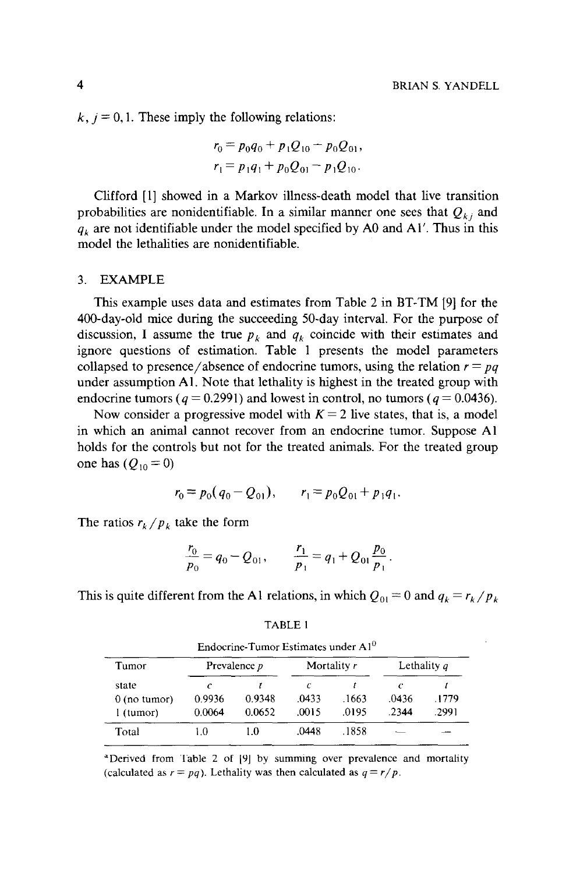$k, j = 0, 1$ . These imply the following relations:

$$
r_0 = p_0 q_0 + p_1 Q_{10} - p_0 Q_{01},
$$
  

$$
r_1 = p_1 q_1 + p_0 Q_{01} - p_1 Q_{10}.
$$

Clifford [I] showed in a Markov illness-death model that live transition probabilities are nonidentifiable. In a similar manner one sees that  $Q_{ki}$  and  $q_k$  are not identifiable under the model specified by A0 and Al'. Thus in this model the lethalities are nonidentifiable.

# 3. EXAMPLE

This example uses data and estimates from Table 2 in BT-TM [9] for the 400-day-old mice during the succeeding 50-day interval. For the purpose of discussion, I assume the true  $p_k$  and  $q_k$  coincide with their estimates and ignore questions of estimation. Table 1 presents the model parameters collapsed to presence/absence of endocrine tumors, using the relation  $r = pq$ under assumption Al. Note that lethality is highest in the treated group with endocrine tumors  $(q = 0.2991)$  and lowest in control, no tumors  $(q = 0.0436)$ .

Now consider a progressive model with  $K = 2$  live states, that is, a model in which an animal cannot recover from an endocrine tumor. Suppose Al holds for the controls but not for the treated animals. For the treated group one has  $(Q_{10} = 0)$ 

$$
r_0 = p_0(q_0 - Q_{01}), \qquad r_1 = p_0 Q_{01} + p_1 q_1.
$$

The ratios  $r_k/p_k$  take the form

$$
\frac{r_0}{p_0} = q_0 - Q_{01}, \qquad \frac{r_1}{p_1} = q_1 + Q_{01} \frac{p_0}{p_1}.
$$

This is quite different from the Al relations, in which  $Q_{01} = 0$  and  $q_k = r_k / p_k$ 

| Tumor          | Prevalence p |        | Mortality $r$ |       | Lethality $q$ |       |
|----------------|--------------|--------|---------------|-------|---------------|-------|
| state          | c            |        | с             |       | c             |       |
| $0$ (no tumor) | 0.9936       | 0.9348 | .0433         | .1663 | .0436         | .1779 |
| l (tumor)      | 0.0064       | 0.0652 | .0015         | 0195  | .2344         | .2991 |
| Total          | 10           | ΙO     | 0448          | -1858 |               |       |

TABLE I Endocrine-Tumor Estimates under A1<sup>0</sup>

<sup>a</sup>Derived from Table 2 of [9] by summing over prevalence and mortality (calculated as  $r = pq$ ). Lethality was then calculated as  $q = r/p$ .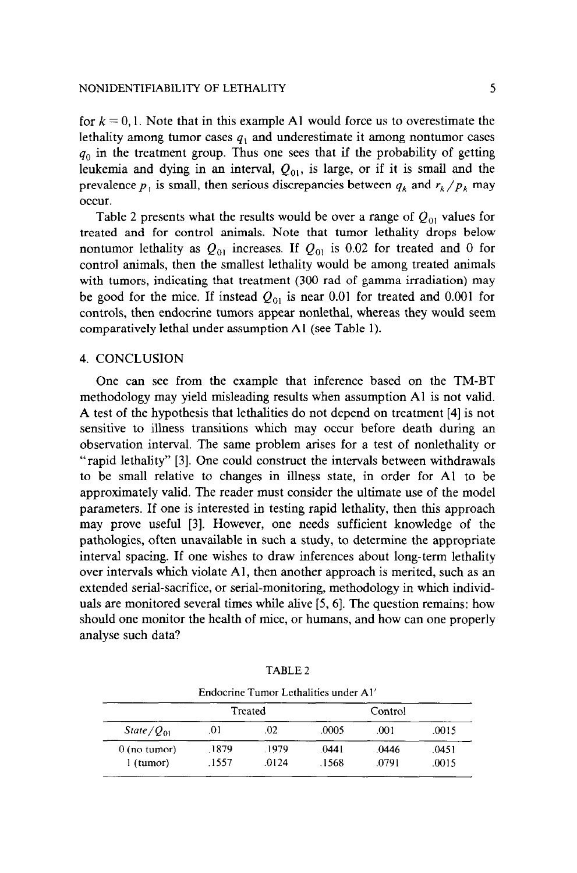for  $k = 0, 1$ . Note that in this example A1 would force us to overestimate the lethality among tumor cases  $q_1$  and underestimate it among nontumor cases  $q_0$  in the treatment group. Thus one sees that if the probability of getting leukemia and dying in an interval,  $Q_{01}$ , is large, or if it is small and the prevalence  $p_1$  is small, then serious discrepancies between  $q_k$  and  $r_k/p_k$  may occur.

Table 2 presents what the results would be over a range of  $Q_{01}$  values for treated and for control animals. Note that tumor lethality drops below nontumor lethality as  $Q_{01}$  increases. If  $Q_{01}$  is 0.02 for treated and 0 for control animals, then the smallest lethality would be among treated animals with tumors, indicating that treatment (300 rad of gamma irradiation) may be good for the mice. If instead  $Q_{01}$  is near 0.01 for treated and 0.001 for controls, then endocrine tumors appear nonlethal, whereas they would seem comparatively lethal under assumption Al (see Table 1).

#### 4. CONCLUSION

One can see from the example that inference based on the TM-BT methodology may yield misleading results when assumption Al is not valid. A test of the hypothesis that lethalities do not depend on treatment [4] is not sensitive to illness transitions which may occur before death during an observation interval. The same problem arises for a test of nonlethality or "rapid lethality" [3]. One could construct the intervals between withdrawals to be small relative to changes in illness state, in order for Al to be approximately valid. The reader must consider the ultimate use of the model parameters. If one is interested in testing rapid lethality, then this approach may prove useful [3]. However, one needs sufficient knowledge of the pathologies, often unavailable in such a study, to determine the appropriate interval spacing. If one wishes to draw inferences about long-term lethality over intervals which violate Al, then another approach is merited, such as an extended serial-sacrifice, or serial-monitoring, methodology in which individuals are monitored several times while alive [5, 61. The question remains: how should one monitor the health of mice, or humans, and how can one properly analyse such data?

| Endocrine Tumor Lethalities under Al' |       |         |         |       |       |  |  |  |  |  |
|---------------------------------------|-------|---------|---------|-------|-------|--|--|--|--|--|
|                                       |       | Treated | Control |       |       |  |  |  |  |  |
| State $\sqrt{Q_{01}}$                 | .01   | .02     | .0005   | .001  | .0015 |  |  |  |  |  |
| $0$ (no tumor)                        | .1879 | 1979    | .0441   | .0446 | .0451 |  |  |  |  |  |
| l (tumor)                             | .1557 | .0124   | .1568   | .0791 | .0015 |  |  |  |  |  |

TABLE 2